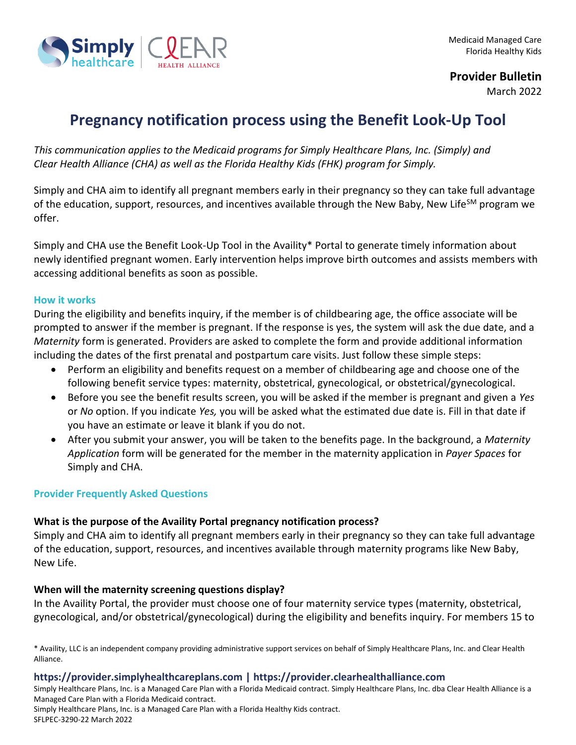

**Provider Bulletin**

March 2022

# **Pregnancy notification process using the Benefit Look-Up Tool**

*This communication applies to the Medicaid programs for Simply Healthcare Plans, Inc. (Simply) and Clear Health Alliance (CHA) as well as the Florida Healthy Kids (FHK) program for Simply.*

Simply and CHA aim to identify all pregnant members early in their pregnancy so they can take full advantage of the education, support, resources, and incentives available through the New Baby, New Life<sup>SM</sup> program we offer.

Simply and CHA use the Benefit Look-Up Tool in the Availity\* Portal to generate timely information about newly identified pregnant women. Early intervention helps improve birth outcomes and assists members with accessing additional benefits as soon as possible.

#### **How it works**

During the eligibility and benefits inquiry, if the member is of childbearing age, the office associate will be prompted to answer if the member is pregnant. If the response is yes, the system will ask the due date, and a *Maternity* form is generated. Providers are asked to complete the form and provide additional information including the dates of the first prenatal and postpartum care visits. Just follow these simple steps:

- Perform an eligibility and benefits request on a member of childbearing age and choose one of the following benefit service types: maternity, obstetrical, gynecological, or obstetrical/gynecological.
- Before you see the benefit results screen, you will be asked if the member is pregnant and given a *Yes*  or *No* option. If you indicate *Yes,* you will be asked what the estimated due date is. Fill in that date if you have an estimate or leave it blank if you do not.
- After you submit your answer, you will be taken to the benefits page. In the background, a *Maternity Application* form will be generated for the member in the maternity application in *Payer Spaces* for Simply and CHA.

#### **Provider Frequently Asked Questions**

#### **What is the purpose of the Availity Portal pregnancy notification process?**

Simply and CHA aim to identify all pregnant members early in their pregnancy so they can take full advantage of the education, support, resources, and incentives available through maternity programs like New Baby, New Life.

#### **When will the maternity screening questions display?**

In the Availity Portal, the provider must choose one of four maternity service types (maternity, obstetrical, gynecological, and/or obstetrical/gynecological) during the eligibility and benefits inquiry. For members 15 to

\* Availity, LLC is an independent company providing administrative support services on behalf of Simply Healthcare Plans, Inc. and Clear Health Alliance.

#### **https://provider.simplyhealthcareplans.com | https://provider.clearhealthalliance.com**

Simply Healthcare Plans, Inc. is a Managed Care Plan with a Florida Medicaid contract. Simply Healthcare Plans, Inc. dba Clear Health Alliance is a Managed Care Plan with a Florida Medicaid contract.

Simply Healthcare Plans, Inc. is a Managed Care Plan with a Florida Healthy Kids contract.

SFLPEC-3290-22 March 2022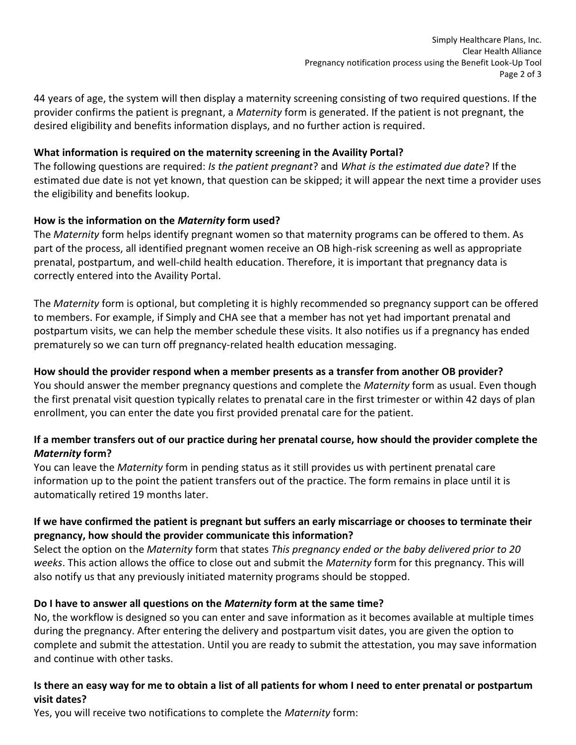44 years of age, the system will then display a maternity screening consisting of two required questions. If the provider confirms the patient is pregnant, a *Maternity* form is generated. If the patient is not pregnant, the desired eligibility and benefits information displays, and no further action is required.

#### **What information is required on the maternity screening in the Availity Portal?**

The following questions are required: *Is the patient pregnant*? and *What is the estimated due date*? If the estimated due date is not yet known, that question can be skipped; it will appear the next time a provider uses the eligibility and benefits lookup.

## **How is the information on the** *Maternity* **form used?**

The *Maternity* form helps identify pregnant women so that maternity programs can be offered to them. As part of the process, all identified pregnant women receive an OB high-risk screening as well as appropriate prenatal, postpartum, and well-child health education. Therefore, it is important that pregnancy data is correctly entered into the Availity Portal.

The *Maternity* form is optional, but completing it is highly recommended so pregnancy support can be offered to members. For example, if Simply and CHA see that a member has not yet had important prenatal and postpartum visits, we can help the member schedule these visits. It also notifies us if a pregnancy has ended prematurely so we can turn off pregnancy-related health education messaging.

## **How should the provider respond when a member presents as a transfer from another OB provider?**

You should answer the member pregnancy questions and complete the *Maternity* form as usual. Even though the first prenatal visit question typically relates to prenatal care in the first trimester or within 42 days of plan enrollment, you can enter the date you first provided prenatal care for the patient.

## **If a member transfers out of our practice during her prenatal course, how should the provider complete the**  *Maternity* **form?**

You can leave the *Maternity* form in pending status as it still provides us with pertinent prenatal care information up to the point the patient transfers out of the practice. The form remains in place until it is automatically retired 19 months later.

## **If we have confirmed the patient is pregnant but suffers an early miscarriage or chooses to terminate their pregnancy, how should the provider communicate this information?**

Select the option on the *Maternity* form that states *This pregnancy ended or the baby delivered prior to 20 weeks*. This action allows the office to close out and submit the *Maternity* form for this pregnancy. This will also notify us that any previously initiated maternity programs should be stopped.

# **Do I have to answer all questions on the** *Maternity* **form at the same time?**

No, the workflow is designed so you can enter and save information as it becomes available at multiple times during the pregnancy. After entering the delivery and postpartum visit dates, you are given the option to complete and submit the attestation. Until you are ready to submit the attestation, you may save information and continue with other tasks.

## **Is there an easy way for me to obtain a list of all patients for whom I need to enter prenatal or postpartum visit dates?**

Yes, you will receive two notifications to complete the *Maternity* form: